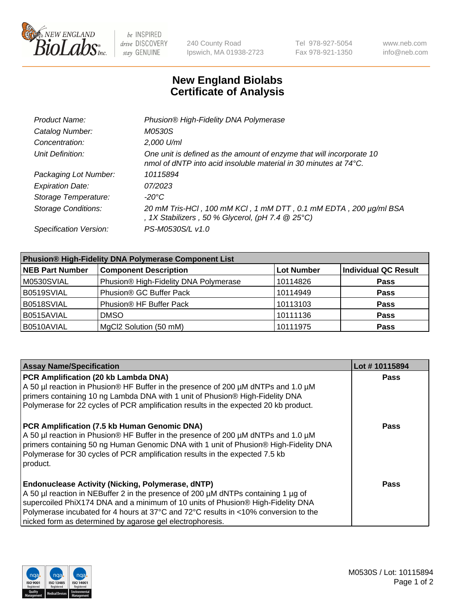

be INSPIRED drive DISCOVERY stay GENUINE

240 County Road Ipswich, MA 01938-2723 Tel 978-927-5054 Fax 978-921-1350 www.neb.com info@neb.com

## **New England Biolabs Certificate of Analysis**

| Product Name:              | Phusion® High-Fidelity DNA Polymerase                                                                                                              |
|----------------------------|----------------------------------------------------------------------------------------------------------------------------------------------------|
| Catalog Number:            | M0530S                                                                                                                                             |
| Concentration:             | 2,000 U/ml                                                                                                                                         |
| Unit Definition:           | One unit is defined as the amount of enzyme that will incorporate 10<br>nmol of dNTP into acid insoluble material in 30 minutes at $74^{\circ}$ C. |
| Packaging Lot Number:      | 10115894                                                                                                                                           |
| <b>Expiration Date:</b>    | 07/2023                                                                                                                                            |
| Storage Temperature:       | -20°C                                                                                                                                              |
| <b>Storage Conditions:</b> | 20 mM Tris-HCl, 100 mM KCl, 1 mM DTT, 0.1 mM EDTA, 200 µg/ml BSA<br>, 1X Stabilizers, 50 % Glycerol, (pH 7.4 $@25°C$ )                             |
| Specification Version:     | PS-M0530S/L v1.0                                                                                                                                   |

| <b>Phusion® High-Fidelity DNA Polymerase Component List</b> |                                       |                   |                             |  |
|-------------------------------------------------------------|---------------------------------------|-------------------|-----------------------------|--|
| <b>NEB Part Number</b>                                      | <b>Component Description</b>          | <b>Lot Number</b> | <b>Individual QC Result</b> |  |
| M0530SVIAL                                                  | Phusion® High-Fidelity DNA Polymerase | 10114826          | <b>Pass</b>                 |  |
| B0519SVIAL                                                  | Phusion <sup>®</sup> GC Buffer Pack   | 10114949          | <b>Pass</b>                 |  |
| B0518SVIAL                                                  | Phusion <sup>®</sup> HF Buffer Pack   | 10113103          | <b>Pass</b>                 |  |
| B0515AVIAL                                                  | <b>DMSO</b>                           | 10111136          | <b>Pass</b>                 |  |
| B0510AVIAL                                                  | MgCl2 Solution (50 mM)                | 10111975          | <b>Pass</b>                 |  |

| <b>Assay Name/Specification</b>                                                                                                                                                  | Lot #10115894 |
|----------------------------------------------------------------------------------------------------------------------------------------------------------------------------------|---------------|
| PCR Amplification (20 kb Lambda DNA)<br>A 50 µl reaction in Phusion® HF Buffer in the presence of 200 µM dNTPs and 1.0 µM                                                        | <b>Pass</b>   |
| primers containing 10 ng Lambda DNA with 1 unit of Phusion® High-Fidelity DNA<br>Polymerase for 22 cycles of PCR amplification results in the expected 20 kb product.            |               |
|                                                                                                                                                                                  |               |
| PCR Amplification (7.5 kb Human Genomic DNA)<br>A 50 µl reaction in Phusion® HF Buffer in the presence of 200 µM dNTPs and 1.0 µM                                                | <b>Pass</b>   |
| primers containing 50 ng Human Genomic DNA with 1 unit of Phusion® High-Fidelity DNA<br>Polymerase for 30 cycles of PCR amplification results in the expected 7.5 kb<br>product. |               |
| <b>Endonuclease Activity (Nicking, Polymerase, dNTP)</b>                                                                                                                         | Pass          |
| A 50 µl reaction in NEBuffer 2 in the presence of 200 µM dNTPs containing 1 µg of                                                                                                |               |
| supercoiled PhiX174 DNA and a minimum of 10 units of Phusion® High-Fidelity DNA                                                                                                  |               |
| Polymerase incubated for 4 hours at 37°C and 72°C results in <10% conversion to the<br>nicked form as determined by agarose gel electrophoresis.                                 |               |